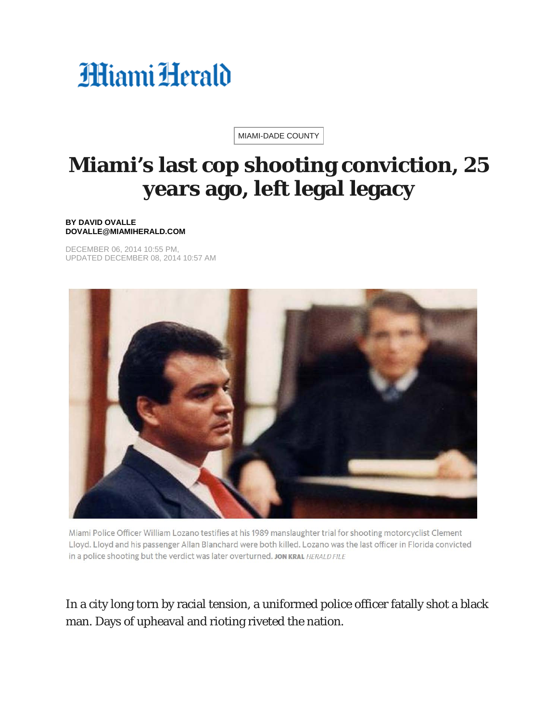## HiamiHerald

[MIAMI-DADE](https://www.miamiherald.com/news/local/community/miami-dade/) COUNTY

## **Miami's last cop shooting conviction, 25 years ago, left legal legacy**

## **BY DAVID OVALLE DOVALLE@MIAMIHERALD.COM**

DECEMBER 06, 2014 10:55 PM, UPDATED DECEMBER 08, 2014 10:57 AM



Miami Police Officer William Lozano testifies at his 1989 manslaughter trial for shooting motorcyclist Clement Lloyd. Lloyd and his passenger Allan Blanchard were both killed. Lozano was the last officer in Florida convicted in a police shooting but the verdict was later overturned. JON KRAL HERALD FILE

## In a city long torn by racial tension, a uniformed police officer fatally shot a black man. Days of upheaval and rioting riveted the nation.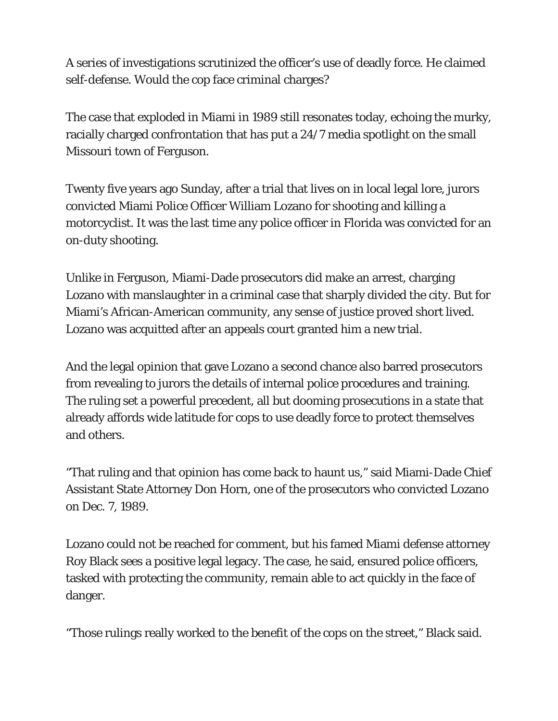A series of investigations scrutinized the officer's use of deadly force. He claimed self-defense. Would the cop face criminal charges?

The case that exploded in Miami in 1989 still resonates today, echoing the murky, racially charged confrontation that has put a 24/7 media spotlight on the small Missouri town of Ferguson.

Twenty five years ago Sunday, after a trial that lives on in local legal lore, jurors convicted Miami Police Officer William Lozano for shooting and killing a motorcyclist. It was the last time any police officer in Florida was convicted for an on-duty shooting.

Unlike in Ferguson, Miami-Dade prosecutors did make an arrest, charging Lozano with manslaughter in a criminal case that sharply divided the city. But for Miami's African-American community, any sense of justice proved short lived. Lozano was acquitted after an appeals court granted him a new trial.

And the legal opinion that gave Lozano a second chance also barred prosecutors from revealing to jurors the details of internal police procedures and training. The ruling set a powerful precedent, all but dooming prosecutions in a state that already affords wide latitude for cops to use deadly force to protect themselves and others.

"That ruling and that opinion has come back to haunt us," said Miami-Dade Chief Assistant State Attorney Don Horn, one of the prosecutors who convicted Lozano on Dec. 7, 1989.

Lozano could not be reached for comment, but his famed Miami defense attorney Roy Black sees a positive legal legacy. The case, he said, ensured police officers, tasked with protecting the community, remain able to act quickly in the face of danger.

"Those rulings really worked to the benefit of the cops on the street," Black said.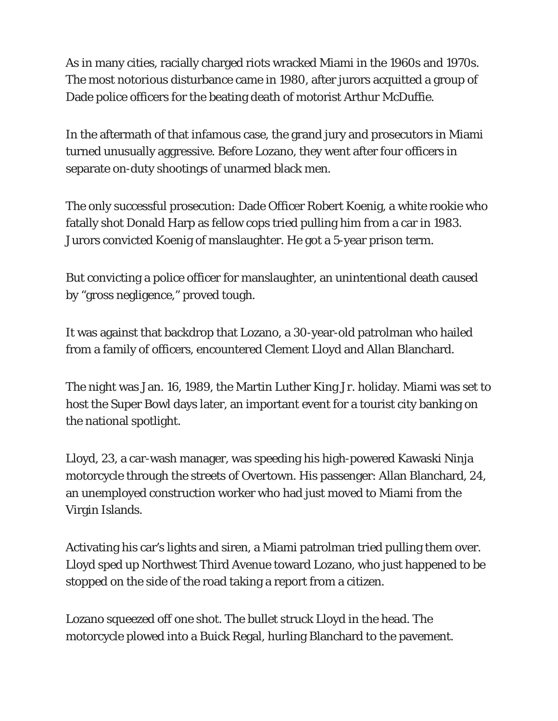As in many cities, racially charged riots wracked Miami in the 1960s and 1970s. The most notorious disturbance came in 1980, after jurors acquitted a group of Dade police officers for the beating death of motorist Arthur McDuffie.

In the aftermath of that infamous case, the grand jury and prosecutors in Miami turned unusually aggressive. Before Lozano, they went after four officers in separate on-duty shootings of unarmed black men.

The only successful prosecution: Dade Officer Robert Koenig, a white rookie who fatally shot Donald Harp as fellow cops tried pulling him from a car in 1983. Jurors convicted Koenig of manslaughter. He got a 5-year prison term.

But convicting a police officer for manslaughter, an unintentional death caused by "gross negligence," proved tough.

It was against that backdrop that Lozano, a 30-year-old patrolman who hailed from a family of officers, encountered Clement Lloyd and Allan Blanchard.

The night was Jan. 16, 1989, the Martin Luther King Jr. holiday. Miami was set to host the Super Bowl days later, an important event for a tourist city banking on the national spotlight.

Lloyd, 23, a car-wash manager, was speeding his high-powered Kawaski Ninja motorcycle through the streets of Overtown. His passenger: Allan Blanchard, 24, an unemployed construction worker who had just moved to Miami from the Virgin Islands.

Activating his car's lights and siren, a Miami patrolman tried pulling them over. Lloyd sped up Northwest Third Avenue toward Lozano, who just happened to be stopped on the side of the road taking a report from a citizen.

Lozano squeezed off one shot. The bullet struck Lloyd in the head. The motorcycle plowed into a Buick Regal, hurling Blanchard to the pavement.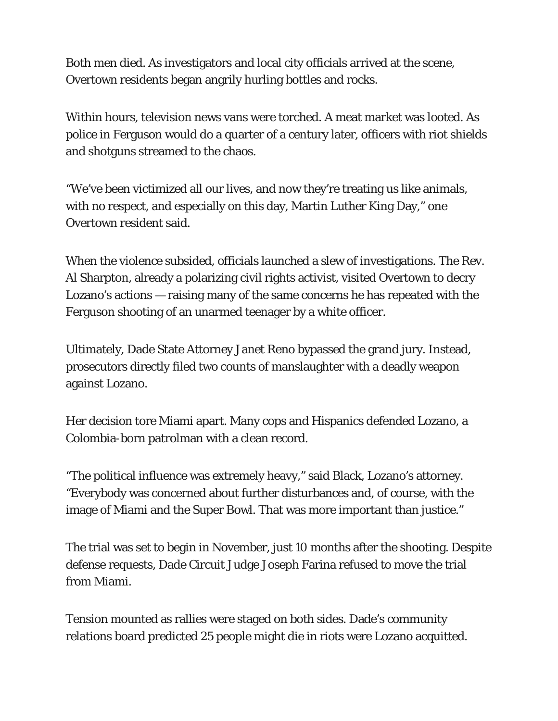Both men died. As investigators and local city officials arrived at the scene, Overtown residents began angrily hurling bottles and rocks.

Within hours, television news vans were torched. A meat market was looted. As police in Ferguson would do a quarter of a century later, officers with riot shields and shotguns streamed to the chaos.

"We've been victimized all our lives, and now they're treating us like animals, with no respect, and especially on this day, Martin Luther King Day," one Overtown resident said.

When the violence subsided, officials launched a slew of investigations. The Rev. Al Sharpton, already a polarizing civil rights activist, visited Overtown to decry Lozano's actions — raising many of the same concerns he has repeated with the Ferguson shooting of an unarmed teenager by a white officer.

Ultimately, Dade State Attorney Janet Reno bypassed the grand jury. Instead, prosecutors directly filed two counts of manslaughter with a deadly weapon against Lozano.

Her decision tore Miami apart. Many cops and Hispanics defended Lozano, a Colombia-born patrolman with a clean record.

"The political influence was extremely heavy," said Black, Lozano's attorney. "Everybody was concerned about further disturbances and, of course, with the image of Miami and the Super Bowl. That was more important than justice."

The trial was set to begin in November, just 10 months after the shooting. Despite defense requests, Dade Circuit Judge Joseph Farina refused to move the trial from Miami.

Tension mounted as rallies were staged on both sides. Dade's community relations board predicted 25 people might die in riots were Lozano acquitted.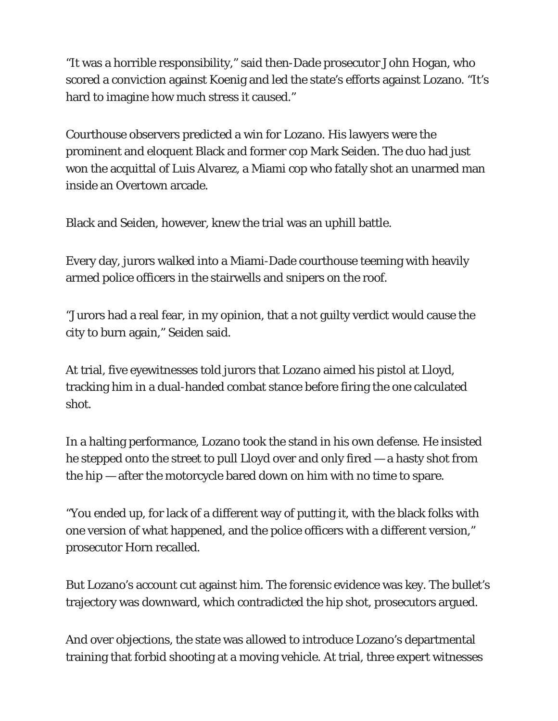"It was a horrible responsibility," said then-Dade prosecutor John Hogan, who scored a conviction against Koenig and led the state's efforts against Lozano. "It's hard to imagine how much stress it caused."

Courthouse observers predicted a win for Lozano. His lawyers were the prominent and eloquent Black and former cop Mark Seiden. The duo had just won the acquittal of Luis Alvarez, a Miami cop who fatally shot an unarmed man inside an Overtown arcade.

Black and Seiden, however, knew the trial was an uphill battle.

Every day, jurors walked into a Miami-Dade courthouse teeming with heavily armed police officers in the stairwells and snipers on the roof.

"Jurors had a real fear, in my opinion, that a not guilty verdict would cause the city to burn again," Seiden said.

At trial, five eyewitnesses told jurors that Lozano aimed his pistol at Lloyd, tracking him in a dual-handed combat stance before firing the one calculated shot.

In a halting performance, Lozano took the stand in his own defense. He insisted he stepped onto the street to pull Lloyd over and only fired — a hasty shot from the hip — after the motorcycle bared down on him with no time to spare.

"You ended up, for lack of a different way of putting it, with the black folks with one version of what happened, and the police officers with a different version," prosecutor Horn recalled.

But Lozano's account cut against him. The forensic evidence was key. The bullet's trajectory was downward, which contradicted the hip shot, prosecutors argued.

And over objections, the state was allowed to introduce Lozano's departmental training that forbid shooting at a moving vehicle. At trial, three expert witnesses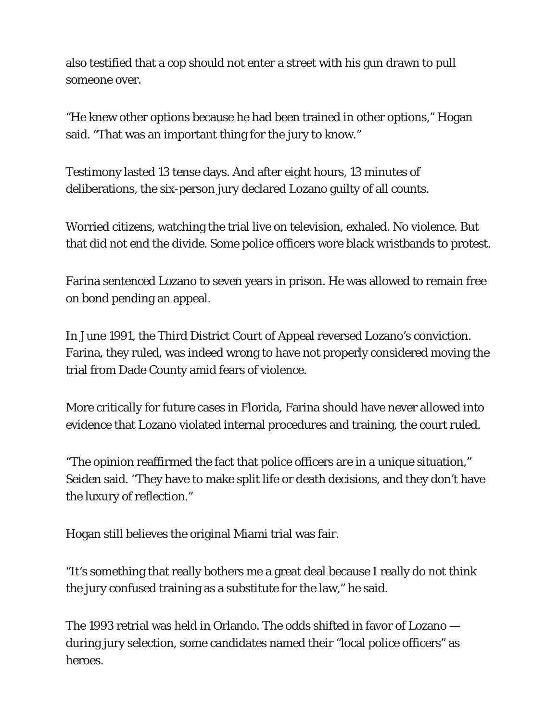also testified that a cop should not enter a street with his gun drawn to pull someone over.

"He knew other options because he had been trained in other options," Hogan said. "That was an important thing for the jury to know."

Testimony lasted 13 tense days. And after eight hours, 13 minutes of deliberations, the six-person jury declared Lozano guilty of all counts.

Worried citizens, watching the trial live on television, exhaled. No violence. But that did not end the divide. Some police officers wore black wristbands to protest.

Farina sentenced Lozano to seven years in prison. He was allowed to remain free on bond pending an appeal.

In June 1991, the Third District Court of Appeal reversed Lozano's conviction. Farina, they ruled, was indeed wrong to have not properly considered moving the trial from Dade County amid fears of violence.

More critically for future cases in Florida, Farina should have never allowed into evidence that Lozano violated internal procedures and training, the court ruled.

"The opinion reaffirmed the fact that police officers are in a unique situation," Seiden said. "They have to make split life or death decisions, and they don't have the luxury of reflection."

Hogan still believes the original Miami trial was fair.

"It's something that really bothers me a great deal because I really do not think the jury confused training as a substitute for the law," he said.

The 1993 retrial was held in Orlando. The odds shifted in favor of Lozano during jury selection, some candidates named their "local police officers" as heroes.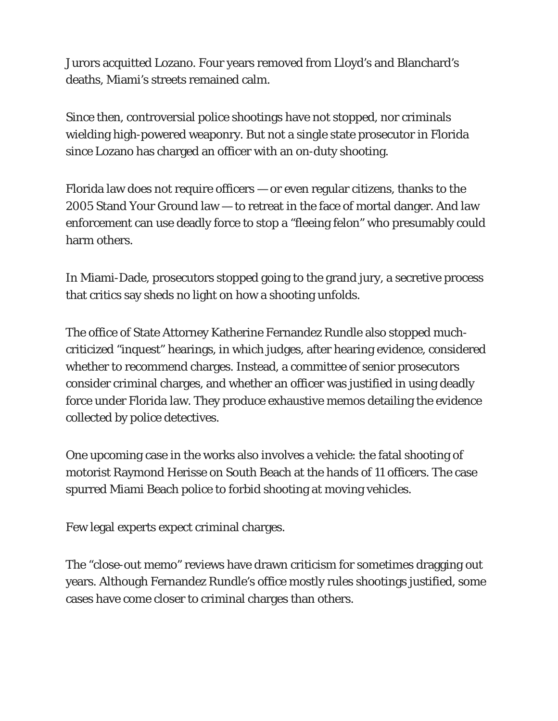Jurors acquitted Lozano. Four years removed from Lloyd's and Blanchard's deaths, Miami's streets remained calm.

Since then, controversial police shootings have not stopped, nor criminals wielding high-powered weaponry. But not a single state prosecutor in Florida since Lozano has charged an officer with an on-duty shooting.

Florida law does not require officers — or even regular citizens, thanks to the 2005 Stand Your Ground law — to retreat in the face of mortal danger. And law enforcement can use deadly force to stop a "fleeing felon" who presumably could harm others.

In Miami-Dade, prosecutors stopped going to the grand jury, a secretive process that critics say sheds no light on how a shooting unfolds.

The office of State Attorney Katherine Fernandez Rundle also stopped muchcriticized "inquest" hearings, in which judges, after hearing evidence, considered whether to recommend charges. Instead, a committee of senior prosecutors consider criminal charges, and whether an officer was justified in using deadly force under Florida law. They produce exhaustive memos detailing the evidence collected by police detectives.

One upcoming case in the works also involves a vehicle: the fatal shooting of motorist Raymond Herisse on South Beach at the hands of 11 officers. The case spurred Miami Beach police to forbid shooting at moving vehicles.

Few legal experts expect criminal charges.

The "close-out memo" reviews have drawn criticism for sometimes dragging out years. Although Fernandez Rundle's office mostly rules shootings justified, some cases have come closer to criminal charges than others.